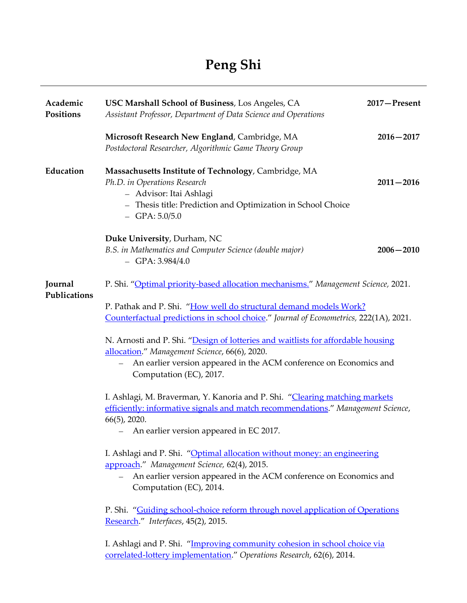| Academic<br>Positions   | USC Marshall School of Business, Los Angeles, CA<br>Assistant Professor, Department of Data Science and Operations                                                                                                                                                                                                                                                                                                                                                                    | 2017-Present  |
|-------------------------|---------------------------------------------------------------------------------------------------------------------------------------------------------------------------------------------------------------------------------------------------------------------------------------------------------------------------------------------------------------------------------------------------------------------------------------------------------------------------------------|---------------|
|                         | Microsoft Research New England, Cambridge, MA<br>Postdoctoral Researcher, Algorithmic Game Theory Group                                                                                                                                                                                                                                                                                                                                                                               | $2016 - 2017$ |
| Education               | Massachusetts Institute of Technology, Cambridge, MA<br>Ph.D. in Operations Research<br>- Advisor: Itai Ashlagi<br>- Thesis title: Prediction and Optimization in School Choice<br>$-$ GPA: $5.0/5.0$                                                                                                                                                                                                                                                                                 | $2011 - 2016$ |
|                         | Duke University, Durham, NC<br>B.S. in Mathematics and Computer Science (double major)<br>$-$ GPA: 3.984/4.0                                                                                                                                                                                                                                                                                                                                                                          | $2006 - 2010$ |
| Journal<br>Publications | P. Shi. "Optimal priority-based allocation mechanisms." Management Science, 2021.<br>P. Pathak and P. Shi. "How well do structural demand models Work?<br>Counterfactual predictions in school choice." Journal of Econometrics, 222(1A), 2021.<br>N. Arnosti and P. Shi. "Design of lotteries and waitlists for affordable housing<br>allocation." Management Science, 66(6), 2020.<br>An earlier version appeared in the ACM conference on Economics and<br>Computation (EC), 2017. |               |
|                         | I. Ashlagi, M. Braverman, Y. Kanoria and P. Shi. "Clearing matching markets<br>efficiently: informative signals and match recommendations." Management Science,<br>$66(5)$ , 2020.<br>An earlier version appeared in EC 2017.                                                                                                                                                                                                                                                         |               |
|                         | I. Ashlagi and P. Shi. "Optimal allocation without money: an engineering<br>approach." Management Science, 62(4), 2015.<br>An earlier version appeared in the ACM conference on Economics and<br>$\overline{\phantom{0}}$<br>Computation (EC), 2014.                                                                                                                                                                                                                                  |               |
|                         | P. Shi. "Guiding school-choice reform through novel application of Operations<br>Research." Interfaces, 45(2), 2015.                                                                                                                                                                                                                                                                                                                                                                  |               |
|                         |                                                                                                                                                                                                                                                                                                                                                                                                                                                                                       |               |

I. Ashlagi and P. Shi. "[Improving community cohesion in school choice via](http://pubsonline.informs.org/doi/abs/10.1287/opre.2014.1319)  [correlated-lottery implementation](http://pubsonline.informs.org/doi/abs/10.1287/opre.2014.1319)." *Operations Research*, 62(6), 2014.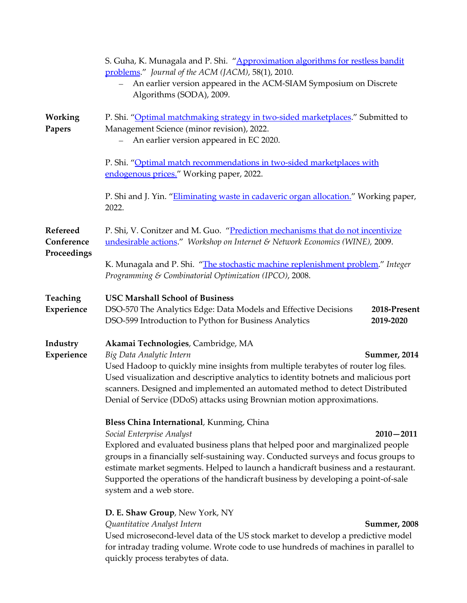|                                       | S. Guha, K. Munagala and P. Shi. "Approximation algorithms for restless bandit<br>problems." Journal of the ACM (JACM), 58(1), 2010.<br>An earlier version appeared in the ACM-SIAM Symposium on Discrete<br>Algorithms (SODA), 2009.                                                                                                                                                                                                                                 |  |
|---------------------------------------|-----------------------------------------------------------------------------------------------------------------------------------------------------------------------------------------------------------------------------------------------------------------------------------------------------------------------------------------------------------------------------------------------------------------------------------------------------------------------|--|
| Working<br>Papers                     | P. Shi. "Optimal matchmaking strategy in two-sided marketplaces." Submitted to<br>Management Science (minor revision), 2022.<br>An earlier version appeared in EC 2020.                                                                                                                                                                                                                                                                                               |  |
|                                       | P. Shi. "Optimal match recommendations in two-sided marketplaces with<br>endogenous prices." Working paper, 2022.                                                                                                                                                                                                                                                                                                                                                     |  |
|                                       | P. Shi and J. Yin. "Eliminating waste in cadaveric organ allocation." Working paper,<br>2022.                                                                                                                                                                                                                                                                                                                                                                         |  |
| Refereed<br>Conference<br>Proceedings | P. Shi, V. Conitzer and M. Guo. "Prediction mechanisms that do not incentivize<br>undesirable actions." Workshop on Internet & Network Economics (WINE), 2009.                                                                                                                                                                                                                                                                                                        |  |
|                                       | K. Munagala and P. Shi. "The stochastic machine replenishment problem." Integer<br>Programming & Combinatorial Optimization (IPCO), 2008.                                                                                                                                                                                                                                                                                                                             |  |
| Teaching<br>Experience                | <b>USC Marshall School of Business</b><br>DSO-570 The Analytics Edge: Data Models and Effective Decisions<br>2018-Present<br>DSO-599 Introduction to Python for Business Analytics<br>2019-2020                                                                                                                                                                                                                                                                       |  |
| Industry<br>Experience                | Akamai Technologies, Cambridge, MA<br>Big Data Analytic Intern<br><b>Summer, 2014</b><br>Used Hadoop to quickly mine insights from multiple terabytes of router log files.<br>Used visualization and descriptive analytics to identity botnets and malicious port<br>scanners. Designed and implemented an automated method to detect Distributed<br>Denial of Service (DDoS) attacks using Brownian motion approximations.                                           |  |
|                                       | Bless China International, Kunming, China<br>Social Enterprise Analyst<br>$2010 - 2011$<br>Explored and evaluated business plans that helped poor and marginalized people<br>groups in a financially self-sustaining way. Conducted surveys and focus groups to<br>estimate market segments. Helped to launch a handicraft business and a restaurant.<br>Supported the operations of the handicraft business by developing a point-of-sale<br>system and a web store. |  |
|                                       | D. E. Shaw Group, New York, NY<br>Quantitative Analyst Intern<br><b>Summer, 2008</b><br>Used microsecond-level data of the US stock market to develop a predictive model<br>for intraday trading volume. Wrote code to use hundreds of machines in parallel to<br>quickly process terabytes of data.                                                                                                                                                                  |  |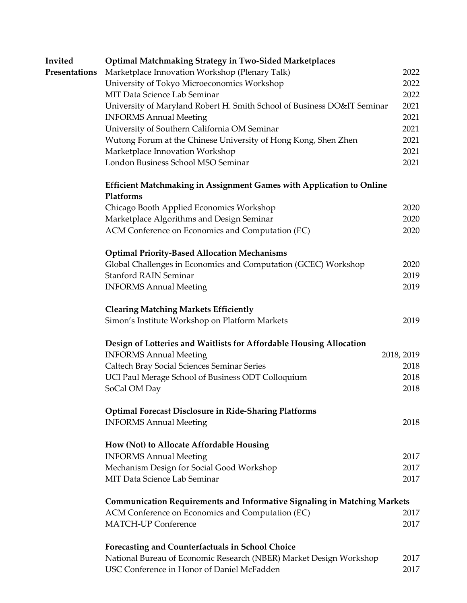| Invited       | <b>Optimal Matchmaking Strategy in Two-Sided Marketplaces</b>                   |            |  |  |  |
|---------------|---------------------------------------------------------------------------------|------------|--|--|--|
| Presentations | Marketplace Innovation Workshop (Plenary Talk)                                  | 2022       |  |  |  |
|               | University of Tokyo Microeconomics Workshop                                     | 2022       |  |  |  |
|               | MIT Data Science Lab Seminar                                                    | 2022       |  |  |  |
|               | University of Maryland Robert H. Smith School of Business DO&IT Seminar         |            |  |  |  |
|               | <b>INFORMS Annual Meeting</b>                                                   | 2021       |  |  |  |
|               | University of Southern California OM Seminar                                    | 2021       |  |  |  |
|               | Wutong Forum at the Chinese University of Hong Kong, Shen Zhen                  | 2021       |  |  |  |
|               | Marketplace Innovation Workshop                                                 | 2021       |  |  |  |
|               | London Business School MSO Seminar                                              | 2021       |  |  |  |
|               | <b>Efficient Matchmaking in Assignment Games with Application to Online</b>     |            |  |  |  |
|               | Platforms                                                                       |            |  |  |  |
|               | Chicago Booth Applied Economics Workshop                                        | 2020       |  |  |  |
|               | Marketplace Algorithms and Design Seminar                                       | 2020       |  |  |  |
|               | ACM Conference on Economics and Computation (EC)                                | 2020       |  |  |  |
|               | <b>Optimal Priority-Based Allocation Mechanisms</b>                             |            |  |  |  |
|               | Global Challenges in Economics and Computation (GCEC) Workshop                  | 2020       |  |  |  |
|               | <b>Stanford RAIN Seminar</b>                                                    | 2019       |  |  |  |
|               | <b>INFORMS Annual Meeting</b>                                                   | 2019       |  |  |  |
|               | <b>Clearing Matching Markets Efficiently</b>                                    |            |  |  |  |
|               | Simon's Institute Workshop on Platform Markets                                  | 2019       |  |  |  |
|               | Design of Lotteries and Waitlists for Affordable Housing Allocation             |            |  |  |  |
|               | <b>INFORMS Annual Meeting</b>                                                   | 2018, 2019 |  |  |  |
|               | Caltech Bray Social Sciences Seminar Series                                     | 2018       |  |  |  |
|               | UCI Paul Merage School of Business ODT Colloquium                               | 2018       |  |  |  |
|               | SoCal OM Day                                                                    | 2018       |  |  |  |
|               | <b>Optimal Forecast Disclosure in Ride-Sharing Platforms</b>                    |            |  |  |  |
|               | <b>INFORMS Annual Meeting</b>                                                   | 2018       |  |  |  |
|               | How (Not) to Allocate Affordable Housing                                        |            |  |  |  |
|               | <b>INFORMS Annual Meeting</b>                                                   | 2017       |  |  |  |
|               | Mechanism Design for Social Good Workshop                                       | 2017       |  |  |  |
|               | MIT Data Science Lab Seminar                                                    | 2017       |  |  |  |
|               | <b>Communication Requirements and Informative Signaling in Matching Markets</b> |            |  |  |  |
|               | ACM Conference on Economics and Computation (EC)                                | 2017       |  |  |  |
|               | <b>MATCH-UP Conference</b>                                                      | 2017       |  |  |  |
|               | <b>Forecasting and Counterfactuals in School Choice</b>                         |            |  |  |  |
|               | National Bureau of Economic Research (NBER) Market Design Workshop              | 2017       |  |  |  |
|               | USC Conference in Honor of Daniel McFadden                                      | 2017       |  |  |  |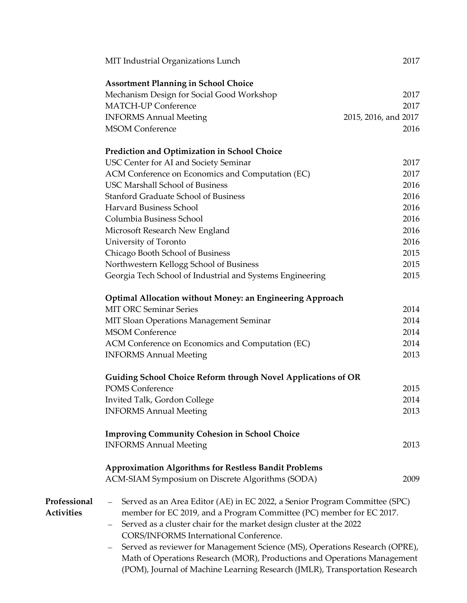|                   | MIT Industrial Organizations Lunch                                                              | 2017                 |
|-------------------|-------------------------------------------------------------------------------------------------|----------------------|
|                   | <b>Assortment Planning in School Choice</b>                                                     |                      |
|                   | Mechanism Design for Social Good Workshop                                                       | 2017                 |
|                   | <b>MATCH-UP Conference</b>                                                                      | 2017                 |
|                   | <b>INFORMS Annual Meeting</b>                                                                   | 2015, 2016, and 2017 |
|                   | <b>MSOM Conference</b>                                                                          | 2016                 |
|                   |                                                                                                 |                      |
|                   | Prediction and Optimization in School Choice                                                    |                      |
|                   | USC Center for AI and Society Seminar                                                           | 2017                 |
|                   | ACM Conference on Economics and Computation (EC)                                                | 2017                 |
|                   | <b>USC Marshall School of Business</b>                                                          | 2016                 |
|                   | <b>Stanford Graduate School of Business</b>                                                     | 2016                 |
|                   | <b>Harvard Business School</b>                                                                  | 2016                 |
|                   | Columbia Business School                                                                        | 2016                 |
|                   | Microsoft Research New England                                                                  | 2016                 |
|                   | University of Toronto                                                                           | 2016                 |
|                   | Chicago Booth School of Business                                                                | 2015                 |
|                   | Northwestern Kellogg School of Business                                                         | 2015                 |
|                   | Georgia Tech School of Industrial and Systems Engineering                                       | 2015                 |
|                   | <b>Optimal Allocation without Money: an Engineering Approach</b>                                |                      |
|                   | <b>MIT ORC Seminar Series</b>                                                                   | 2014                 |
|                   | MIT Sloan Operations Management Seminar                                                         | 2014                 |
|                   | <b>MSOM Conference</b>                                                                          | 2014                 |
|                   |                                                                                                 | 2014                 |
|                   | ACM Conference on Economics and Computation (EC)<br><b>INFORMS Annual Meeting</b>               | 2013                 |
|                   |                                                                                                 |                      |
|                   | <b>Guiding School Choice Reform through Novel Applications of OR</b>                            |                      |
|                   | POMS Conference                                                                                 | 2015                 |
|                   | Invited Talk, Gordon College                                                                    | 2014                 |
|                   | <b>INFORMS Annual Meeting</b>                                                                   | 2013                 |
|                   | <b>Improving Community Cohesion in School Choice</b>                                            |                      |
|                   | <b>INFORMS Annual Meeting</b>                                                                   | 2013                 |
|                   |                                                                                                 |                      |
|                   | <b>Approximation Algorithms for Restless Bandit Problems</b>                                    |                      |
|                   | ACM-SIAM Symposium on Discrete Algorithms (SODA)                                                | 2009                 |
| Professional      | Served as an Area Editor (AE) in EC 2022, a Senior Program Committee (SPC)<br>$-$               |                      |
| <b>Activities</b> | member for EC 2019, and a Program Committee (PC) member for EC 2017.                            |                      |
|                   | Served as a cluster chair for the market design cluster at the 2022<br>$\overline{\phantom{0}}$ |                      |
|                   | CORS/INFORMS International Conference.                                                          |                      |
|                   | Served as reviewer for Management Science (MS), Operations Research (OPRE),                     |                      |
|                   | Math of Operations Research (MOR), Productions and Operations Management                        |                      |
|                   | (POM), Journal of Machine Learning Research (JMLR), Transportation Research                     |                      |